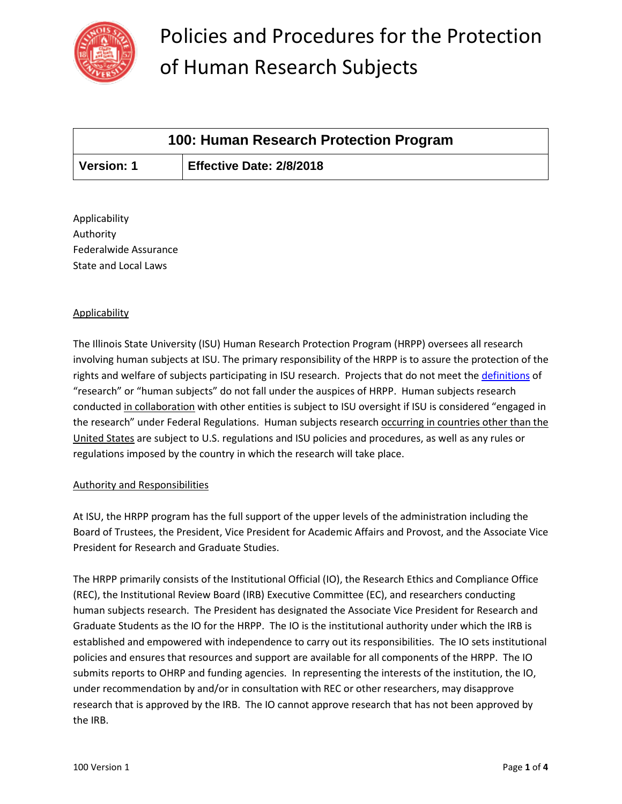

| 100: Human Research Protection Program |                          |
|----------------------------------------|--------------------------|
| <b>Version: 1</b>                      | Effective Date: 2/8/2018 |

Applicability Authority Federalwide Assurance State and Local Laws

### Applicability

The Illinois State University (ISU) Human Research Protection Program (HRPP) oversees all research involving human subjects at ISU. The primary responsibility of the HRPP is to assure the protection of the rights and welfare of subjects participating in ISU research. Projects that do not meet the [definitions](https://research.illinoisstate.edu/ethics/human/policy/101.A%20Definitions.pdf) of "research" or "human subjects" do not fall under the auspices of HRPP. Human subjects research conducted in collaboration with other entities is subject to ISU oversight if ISU is considered "engaged in the research" under Federal Regulations. Human subjects research occurring in countries other than the United States are subject to U.S. regulations and ISU policies and procedures, as well as any rules or regulations imposed by the country in which the research will take place.

#### Authority and Responsibilities

At ISU, the HRPP program has the full support of the upper levels of the administration including the Board of Trustees, the President, Vice President for Academic Affairs and Provost, and the Associate Vice President for Research and Graduate Studies.

The HRPP primarily consists of the Institutional Official (IO), the Research Ethics and Compliance Office (REC), the Institutional Review Board (IRB) Executive Committee (EC), and researchers conducting human subjects research. The President has designated the Associate Vice President for Research and Graduate Students as the IO for the HRPP. The IO is the institutional authority under which the IRB is established and empowered with independence to carry out its responsibilities. The IO sets institutional policies and ensures that resources and support are available for all components of the HRPP. The IO submits reports to OHRP and funding agencies. In representing the interests of the institution, the IO, under recommendation by and/or in consultation with REC or other researchers, may disapprove research that is approved by the IRB. The IO cannot approve research that has not been approved by the IRB.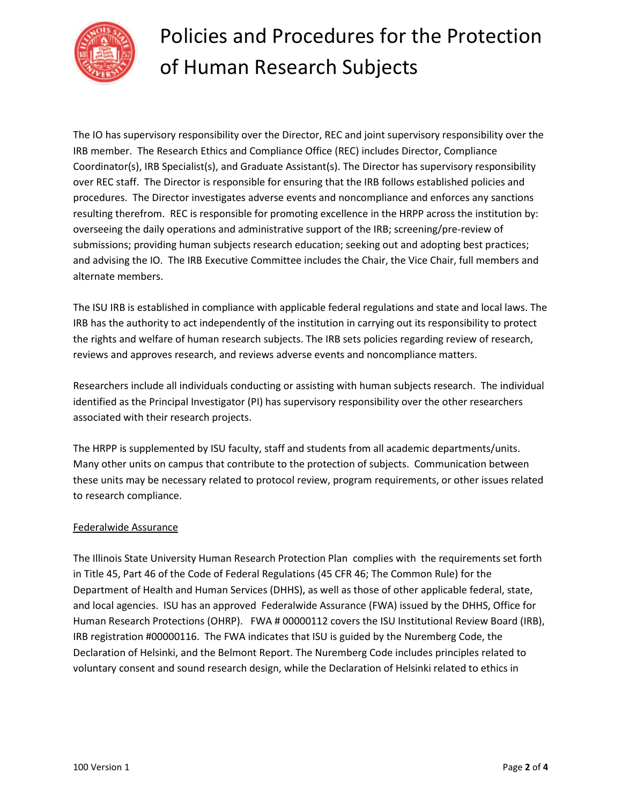

The IO has supervisory responsibility over the Director, REC and joint supervisory responsibility over the IRB member. The Research Ethics and Compliance Office (REC) includes Director, Compliance Coordinator(s), IRB Specialist(s), and Graduate Assistant(s). The Director has supervisory responsibility over REC staff. The Director is responsible for ensuring that the IRB follows established policies and procedures. The Director investigates adverse events and noncompliance and enforces any sanctions resulting therefrom. REC is responsible for promoting excellence in the HRPP across the institution by: overseeing the daily operations and administrative support of the IRB; screening/pre-review of submissions; providing human subjects research education; seeking out and adopting best practices; and advising the IO. The IRB Executive Committee includes the Chair, the Vice Chair, full members and alternate members.

The ISU IRB is established in compliance with applicable federal regulations and state and local laws. The IRB has the authority to act independently of the institution in carrying out its responsibility to protect the rights and welfare of human research subjects. The IRB sets policies regarding review of research, reviews and approves research, and reviews adverse events and noncompliance matters.

Researchers include all individuals conducting or assisting with human subjects research. The individual identified as the Principal Investigator (PI) has supervisory responsibility over the other researchers associated with their research projects.

The HRPP is supplemented by ISU faculty, staff and students from all academic departments/units. Many other units on campus that contribute to the protection of subjects. Communication between these units may be necessary related to protocol review, program requirements, or other issues related to research compliance.

#### Federalwide Assurance

The Illinois State University Human Research Protection Plan complies with the requirements set forth in Title 45, Part 46 of the Code of Federal Regulations (45 CFR 46; The Common Rule) for the Department of Health and Human Services (DHHS), as well as those of other applicable federal, state, and local agencies. ISU has an approved Federalwide Assurance (FWA) issued by the DHHS, Office for Human Research Protections (OHRP). FWA # 00000112 covers the ISU Institutional Review Board (IRB), IRB registration #00000116. The FWA indicates that ISU is guided by the Nuremberg Code, the Declaration of Helsinki, and the Belmont Report. The Nuremberg Code includes principles related to voluntary consent and sound research design, while the Declaration of Helsinki related to ethics in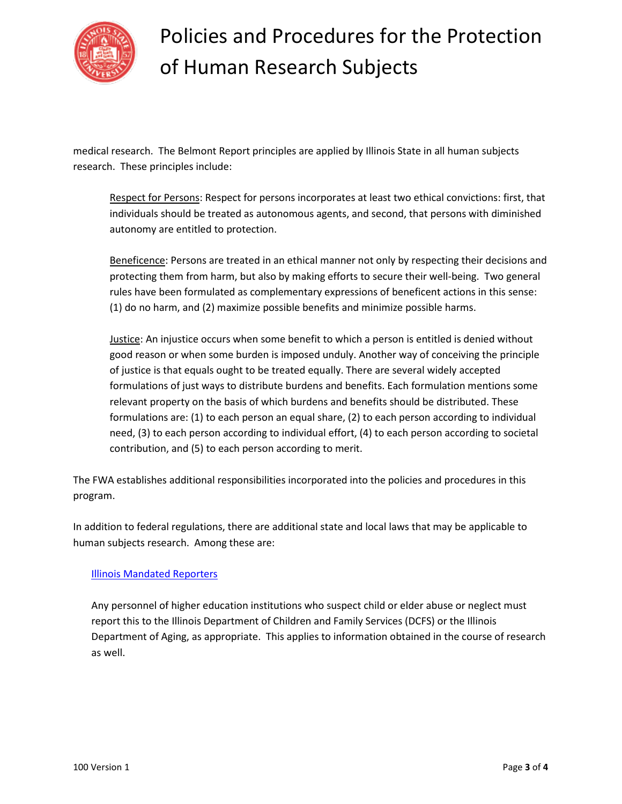

medical research. The Belmont Report principles are applied by Illinois State in all human subjects research. These principles include:

Respect for Persons: Respect for persons incorporates at least two ethical convictions: first, that individuals should be treated as autonomous agents, and second, that persons with diminished autonomy are entitled to protection.

Beneficence: Persons are treated in an ethical manner not only by respecting their decisions and protecting them from harm, but also by making efforts to secure their well-being. Two general rules have been formulated as complementary expressions of beneficent actions in this sense: (1) do no harm, and (2) maximize possible benefits and minimize possible harms.

Justice: An injustice occurs when some benefit to which a person is entitled is denied without good reason or when some burden is imposed unduly. Another way of conceiving the principle of justice is that equals ought to be treated equally. There are several widely accepted formulations of just ways to distribute burdens and benefits. Each formulation mentions some relevant property on the basis of which burdens and benefits should be distributed. These formulations are: (1) to each person an equal share, (2) to each person according to individual need, (3) to each person according to individual effort, (4) to each person according to societal contribution, and (5) to each person according to merit.

The FWA establishes additional responsibilities incorporated into the policies and procedures in this program.

In addition to federal regulations, there are additional state and local laws that may be applicable to human subjects research. Among these are:

### [Illinois Mandated Reporters](http://www.illinois.gov/dcfs/safekids/reporting/Documents/CFS_1050-21_Mandated_Reporter_Manual.pdf)

Any personnel of higher education institutions who suspect child or elder abuse or neglect must report this to the Illinois Department of Children and Family Services (DCFS) or the Illinois Department of Aging, as appropriate. This applies to information obtained in the course of research as well.